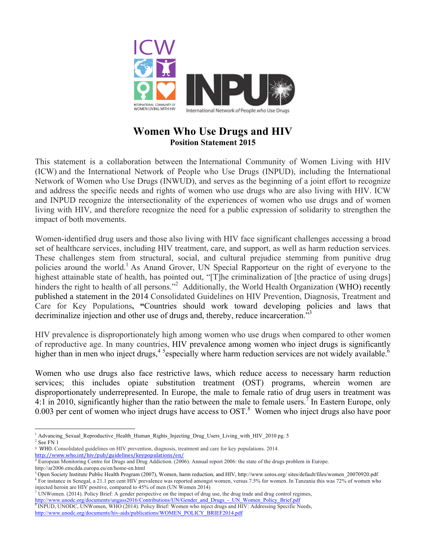

## **Women Who Use Drugs and HIV Position Statement 2015**

This statement is a collaboration between the International Community of Women Living with HIV (ICW) and the International Network of People who Use Drugs (INPUD), including the International Network of Women who Use Drugs (INWUD), and serves as the beginning of a joint effort to recognize and address the specific needs and rights of women who use drugs who are also living with HIV. ICW and INPUD recognize the intersectionality of the experiences of women who use drugs and of women living with HIV, and therefore recognize the need for a public expression of solidarity to strengthen the impact of both movements.

Women-identified drug users and those also living with HIV face significant challenges accessing a broad set of healthcare services, including HIV treatment, care, and support, as well as harm reduction services. These challenges stem from structural, social, and cultural prejudice stemming from punitive drug policies around the world.<sup>1</sup> As Anand Grover, UN Special Rapporteur on the right of everyone to the highest attainable state of health, has pointed out, "[T]he criminalization of [the practice of using drugs] hinders the right to health of all persons."<sup>2</sup> Additionally, the World Health Organization (WHO) recently published a statement in the 2014 Consolidated Guidelines on HIV Prevention, Diagnosis, Treatment and Care for Key Populations**, "**Countries should work toward developing policies and laws that decriminalize injection and other use of drugs and, thereby, reduce incarceration."<sup>3</sup>

HIV prevalence is disproportionately high among women who use drugs when compared to other women of reproductive age. In many countries, HIV prevalence among women who inject drugs is significantly higher than in men who inject drugs,<sup>45</sup> especially where harm reduction services are not widely available.<sup>6</sup>

Women who use drugs also face restrictive laws, which reduce access to necessary harm reduction services; this includes opiate substitution treatment (OST) programs, wherein women are disproportionately underrepresented. In Europe, the male to female ratio of drug users in treatment was 4:1 in 2010, significantly higher than the ratio between the male to female users.<sup>7</sup> In Eastern Europe, only 0.003 per cent of women who inject drugs have access to OST.<sup>8</sup> Women who inject drugs also have poor

 

<sup>1</sup> Advancing\_Sexual\_Reproductive\_Health\_Human\_Rights\_Injecting\_Drug\_Users\_Living\_with\_HIV\_2010 pg. 5  $^{\rm 2}$  See FN 1

<sup>&</sup>lt;sup>3</sup> WHO. Consolidated guidelines on HIV prevention, diagnosis, treatment and care for key populations. 2014.

http://www.who.int/hiv/pub/guidelines/keypopulations/en/

<sup>4</sup> European Monitoring Centre for Drugs and Drug Addiction. (2006). Annual report 2006: the state of the drugs problem in Europe.

http://ar2006.emcdda.europa.eu/en/home-en.html

<sup>5</sup> Open Society Institute Public Health Program (2007), Women, harm reduction, and HIV, http://www.soros.org/ sites/default/files/women\_20070920.pdf <sup>6</sup> For instance in Senegal, a 21.1 per cent HIV prevalence was reported amongst women, versus 7.5% for women. In Tanzania this was 72% of women who injected heroin are HIV positive, compared to 45% of men (UN Women 2014)

 $^7$  UNWomen. (2014). Policy Brief: A gender perspective on the impact of drug use, the drug trade and drug control regimes, http://www.unodc.org/documents/ungass2016/Contributions/UN/Gender\_and\_Drugs\_-\_UN\_Women\_Policy\_Brief.pdf

<sup>&</sup>lt;sup>8</sup> INPUD, UNODC, UNWomen, WHO (2014). Policy Brief: Women who inject drugs and HIV: Addressing Specific Needs, http://www.unodc.org/documents/hiv-aids/publications/WOMEN\_POLICY\_BRIEF2014.pdf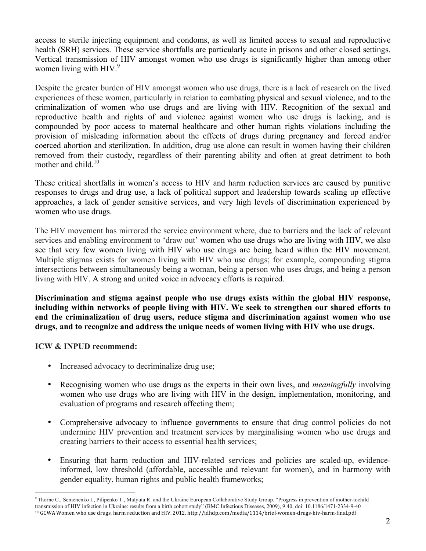access to sterile injecting equipment and condoms, as well as limited access to sexual and reproductive health (SRH) services. These service shortfalls are particularly acute in prisons and other closed settings. Vertical transmission of HIV amongst women who use drugs is significantly higher than among other women living with HIV.<sup>9</sup>

Despite the greater burden of HIV amongst women who use drugs, there is a lack of research on the lived experiences of these women, particularly in relation to combating physical and sexual violence, and to the criminalization of women who use drugs and are living with HIV. Recognition of the sexual and reproductive health and rights of and violence against women who use drugs is lacking, and is compounded by poor access to maternal healthcare and other human rights violations including the provision of misleading information about the effects of drugs during pregnancy and forced and/or coerced abortion and sterilization. In addition, drug use alone can result in women having their children removed from their custody, regardless of their parenting ability and often at great detriment to both mother and child.<sup>10</sup>

These critical shortfalls in women's access to HIV and harm reduction services are caused by punitive responses to drugs and drug use, a lack of political support and leadership towards scaling up effective approaches, a lack of gender sensitive services, and very high levels of discrimination experienced by women who use drugs.

The HIV movement has mirrored the service environment where, due to barriers and the lack of relevant services and enabling environment to 'draw out' women who use drugs who are living with HIV, we also see that very few women living with HIV who use drugs are being heard within the HIV movement. Multiple stigmas exists for women living with HIV who use drugs; for example, compounding stigma intersections between simultaneously being a woman, being a person who uses drugs, and being a person living with HIV. A strong and united voice in advocacy efforts is required.

**Discrimination and stigma against people who use drugs exists within the global HIV response, including within networks of people living with HIV. We seek to strengthen our shared efforts to end the criminalization of drug users, reduce stigma and discrimination against women who use drugs, and to recognize and address the unique needs of women living with HIV who use drugs.**

## **ICW & INPUD recommend:**

 

- Increased advocacy to decriminalize drug use;
- Recognising women who use drugs as the experts in their own lives, and *meaningfully* involving women who use drugs who are living with HIV in the design, implementation, monitoring, and evaluation of programs and research affecting them;
- Comprehensive advocacy to influence governments to ensure that drug control policies do not undermine HIV prevention and treatment services by marginalising women who use drugs and creating barriers to their access to essential health services;
- Ensuring that harm reduction and HIV-related services and policies are scaled-up, evidenceinformed, low threshold (affordable, accessible and relevant for women), and in harmony with gender equality, human rights and public health frameworks;

<sup>9</sup> Thorne C., Semenenko I., Pilipenko T., Malyuta R. and the Ukraine European Collaborative Study Group. "Progress in prevention of mother-tochild transmission of HIV infection in Ukraine: results from a birth cohort study" (BMC Infectious Diseases, 2009), 9:40, doi: 10.1186/1471-2334-9-40 <sup>10</sup> GCWA Women who use drugs, harm reduction and HIV. 2012. http://idhdp.com/media/1114/brief-women-drugs-hiv-harm-final.pdf